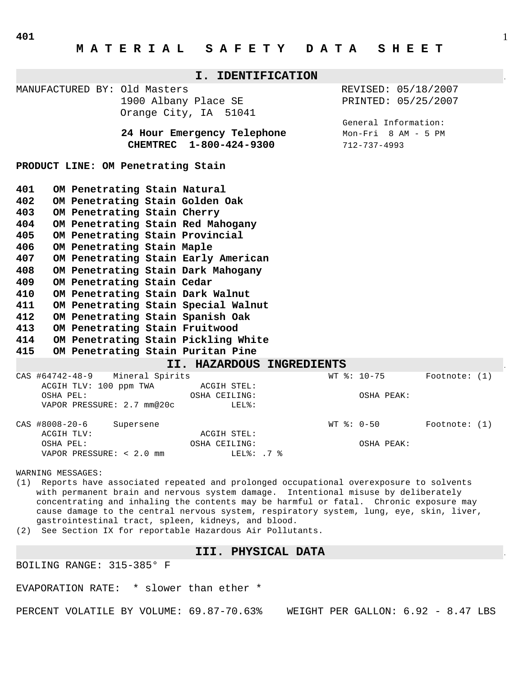| I. IDENTIFICATION                                                                                     |                                                                                                                                                                                                                                                                                                                                                                                                                                                                                                                                              |           |                                                                               |                                                        |       |                                             |                           |                                                                    |  |                 |  |  |
|-------------------------------------------------------------------------------------------------------|----------------------------------------------------------------------------------------------------------------------------------------------------------------------------------------------------------------------------------------------------------------------------------------------------------------------------------------------------------------------------------------------------------------------------------------------------------------------------------------------------------------------------------------------|-----------|-------------------------------------------------------------------------------|--------------------------------------------------------|-------|---------------------------------------------|---------------------------|--------------------------------------------------------------------|--|-----------------|--|--|
|                                                                                                       |                                                                                                                                                                                                                                                                                                                                                                                                                                                                                                                                              |           | MANUFACTURED BY: Old Masters<br>1900 Albany Place SE<br>Orange City, IA 51041 |                                                        |       |                                             |                           | REVISED: 05/18/2007<br>PRINTED: 05/25/2007<br>General Information: |  |                 |  |  |
|                                                                                                       |                                                                                                                                                                                                                                                                                                                                                                                                                                                                                                                                              |           |                                                                               | 24 Hour Emergency Telephone<br>CHEMTREC 1-800-424-9300 |       | $Mon-Fri$ 8 AM - 5 PM<br>$712 - 737 - 4993$ |                           |                                                                    |  |                 |  |  |
| PRODUCT LINE: OM Penetrating Stain                                                                    |                                                                                                                                                                                                                                                                                                                                                                                                                                                                                                                                              |           |                                                                               |                                                        |       |                                             |                           |                                                                    |  |                 |  |  |
| 401<br>402<br>403<br>404<br>405<br>406<br>407<br>408<br>409<br>410<br>411<br>412<br>413<br>414<br>415 | OM Penetrating Stain Natural<br>OM Penetrating Stain Golden Oak<br>OM Penetrating Stain Cherry<br>OM Penetrating Stain Red Mahogany<br>OM Penetrating Stain Provincial<br>OM Penetrating Stain Maple<br>OM Penetrating Stain Early American<br>OM Penetrating Stain Dark Mahogany<br>OM Penetrating Stain Cedar<br>OM Penetrating Stain Dark Walnut<br>OM Penetrating Stain Special Walnut<br>OM Penetrating Stain Spanish Oak<br>OM Penetrating Stain Fruitwood<br>OM Penetrating Stain Pickling White<br>OM Penetrating Stain Puritan Pine |           |                                                                               |                                                        |       |                                             |                           |                                                                    |  |                 |  |  |
|                                                                                                       |                                                                                                                                                                                                                                                                                                                                                                                                                                                                                                                                              |           |                                                                               |                                                        |       | II. HAZARDOUS INGREDIENTS                   |                           |                                                                    |  |                 |  |  |
| CAS #64742-48-9                                                                                       | ACGIH TLV: 100 ppm TWA<br>OSHA PEL:<br>VAPOR PRESSURE: 2.7 mm@20c                                                                                                                                                                                                                                                                                                                                                                                                                                                                            |           | Mineral Spirits                                                               | <b>ACGIH STEL:</b><br>OSHA CEILING:                    | LEL%: |                                             | WT %: 10-75               | OSHA PEAK:                                                         |  | Footnote: $(1)$ |  |  |
| CAS #8008-20-6                                                                                        | ACGIH TLV:                                                                                                                                                                                                                                                                                                                                                                                                                                                                                                                                   | Supersene |                                                                               | ACGIH STEL:                                            |       |                                             | $WT$ $\frac{1}{6}$ : 0-50 |                                                                    |  | Footnote: (1)   |  |  |

WARNING MESSAGES:

(1) Reports have associated repeated and prolonged occupational overexposure to solvents with permanent brain and nervous system damage. Intentional misuse by deliberately concentrating and inhaling the contents may be harmful or fatal. Chronic exposure may cause damage to the central nervous system, respiratory system, lung, eye, skin, liver, gastrointestinal tract, spleen, kidneys, and blood.

OSHA PEL: OSHA CEILING: OSHA PEAK:

(2) See Section IX for reportable Hazardous Air Pollutants.

VAPOR PRESSURE: < 2.0 mm<br>
LEL%: .7 %

#### **III. PHYSICAL DATA** .

BOILING RANGE: 315-385° F

EVAPORATION RATE: \* slower than ether \*

PERCENT VOLATILE BY VOLUME: 69.87-70.63% WEIGHT PER GALLON: 6.92 - 8.47 LBS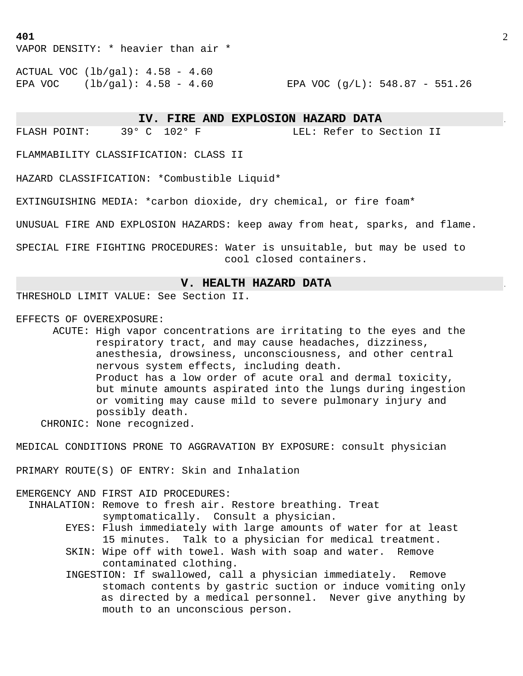VAPOR DENSITY: \* heavier than air \*

ACTUAL VOC (lb/gal): 4.58 - 4.60 EPA VOC (lb/gal): 4.58 - 4.60 EPA VOC (g/L): 548.87 - 551.26

 **IV. FIRE AND EXPLOSION HAZARD DATA** .

FLASH POINT: 39° C 102° F LEL: Refer to Section II

FLAMMABILITY CLASSIFICATION: CLASS II

HAZARD CLASSIFICATION: \*Combustible Liquid\*

EXTINGUISHING MEDIA: \*carbon dioxide, dry chemical, or fire foam\*

UNUSUAL FIRE AND EXPLOSION HAZARDS: keep away from heat, sparks, and flame.

SPECIAL FIRE FIGHTING PROCEDURES: Water is unsuitable, but may be used to cool closed containers.

# **V. HEALTH HAZARD DATA** .

THRESHOLD LIMIT VALUE: See Section II.

EFFECTS OF OVEREXPOSURE:

 ACUTE: High vapor concentrations are irritating to the eyes and the respiratory tract, and may cause headaches, dizziness, anesthesia, drowsiness, unconsciousness, and other central nervous system effects, including death. Product has a low order of acute oral and dermal toxicity, but minute amounts aspirated into the lungs during ingestion or vomiting may cause mild to severe pulmonary injury and possibly death. CHRONIC: None recognized.

MEDICAL CONDITIONS PRONE TO AGGRAVATION BY EXPOSURE: consult physician

PRIMARY ROUTE(S) OF ENTRY: Skin and Inhalation

EMERGENCY AND FIRST AID PROCEDURES: INHALATION: Remove to fresh air. Restore breathing. Treat symptomatically. Consult a physician.

- EYES: Flush immediately with large amounts of water for at least 15 minutes. Talk to a physician for medical treatment.
- SKIN: Wipe off with towel. Wash with soap and water. Remove contaminated clothing.
- INGESTION: If swallowed, call a physician immediately. Remove stomach contents by gastric suction or induce vomiting only as directed by a medical personnel. Never give anything by mouth to an unconscious person.